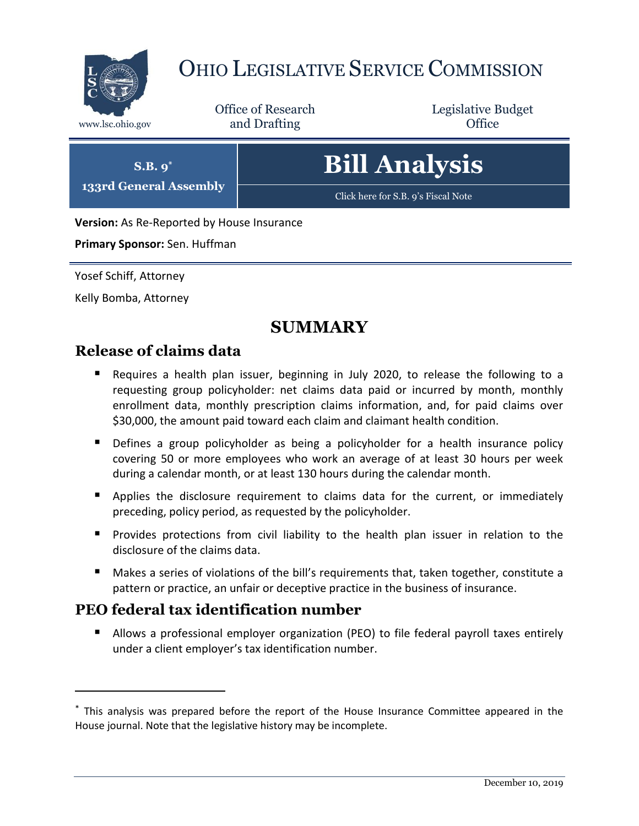

## OHIO LEGISLATIVE SERVICE COMMISSION

Office of Research www.lsc.ohio.gov **and Drafting Office** 

Legislative Budget

# **Bill Analysis**

[Click here for S.B. 9](https://www.legislature.ohio.gov/legislation/legislation-documents?id=GA133-SB-9)'s Fiscal Note

**Version:** As Re-Reported by House Insurance

**Primary Sponsor:** Sen. Huffman

**S.B. 9\* 133rd General Assembly**

Yosef Schiff, Attorney

Kelly Bomba, Attorney

 $\overline{a}$ 

## **SUMMARY**

## **Release of claims data**

- Requires a health plan issuer, beginning in July 2020, to release the following to a requesting group policyholder: net claims data paid or incurred by month, monthly enrollment data, monthly prescription claims information, and, for paid claims over \$30,000, the amount paid toward each claim and claimant health condition.
- **Defines a group policyholder as being a policyholder for a health insurance policy** covering 50 or more employees who work an average of at least 30 hours per week during a calendar month, or at least 130 hours during the calendar month.
- Applies the disclosure requirement to claims data for the current, or immediately preceding, policy period, as requested by the policyholder.
- **Provides protections from civil liability to the health plan issuer in relation to the** disclosure of the claims data.
- Makes a series of violations of the bill's requirements that, taken together, constitute a pattern or practice, an unfair or deceptive practice in the business of insurance.

## **PEO federal tax identification number**

 Allows a professional employer organization (PEO) to file federal payroll taxes entirely under a client employer's tax identification number.

<sup>\*</sup> This analysis was prepared before the report of the House Insurance Committee appeared in the House journal. Note that the legislative history may be incomplete.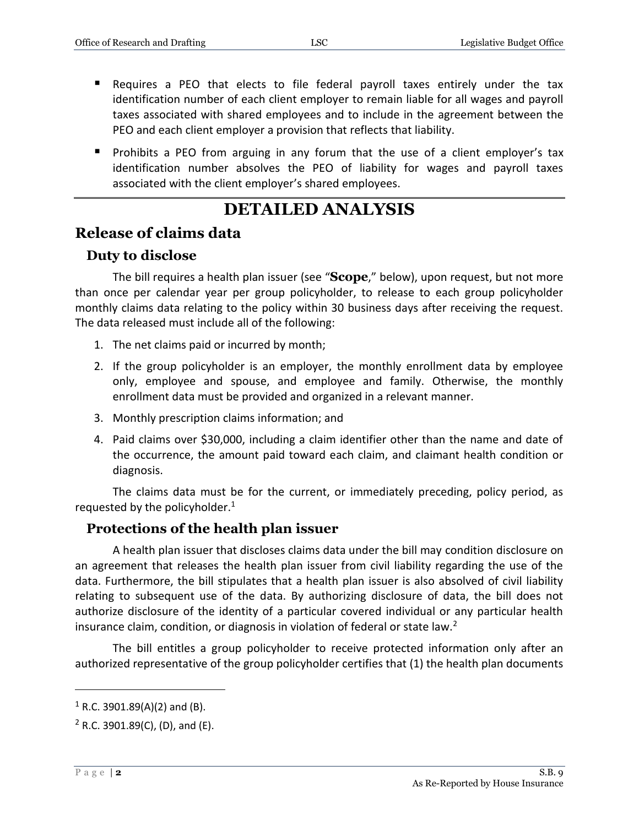- Requires a PEO that elects to file federal payroll taxes entirely under the tax identification number of each client employer to remain liable for all wages and payroll taxes associated with shared employees and to include in the agreement between the PEO and each client employer a provision that reflects that liability.
- **Prohibits a PEO from arguing in any forum that the use of a client employer's tax** identification number absolves the PEO of liability for wages and payroll taxes associated with the client employer's shared employees.

## **DETAILED ANALYSIS**

### **Release of claims data**

#### **Duty to disclose**

The bill requires a health plan issuer (see "**Scope**," below), upon request, but not more than once per calendar year per group policyholder, to release to each group policyholder monthly claims data relating to the policy within 30 business days after receiving the request. The data released must include all of the following:

- 1. The net claims paid or incurred by month;
- 2. If the group policyholder is an employer, the monthly enrollment data by employee only, employee and spouse, and employee and family. Otherwise, the monthly enrollment data must be provided and organized in a relevant manner.
- 3. Monthly prescription claims information; and
- 4. Paid claims over \$30,000, including a claim identifier other than the name and date of the occurrence, the amount paid toward each claim, and claimant health condition or diagnosis.

The claims data must be for the current, or immediately preceding, policy period, as requested by the policyholder. $1$ 

#### **Protections of the health plan issuer**

A health plan issuer that discloses claims data under the bill may condition disclosure on an agreement that releases the health plan issuer from civil liability regarding the use of the data. Furthermore, the bill stipulates that a health plan issuer is also absolved of civil liability relating to subsequent use of the data. By authorizing disclosure of data, the bill does not authorize disclosure of the identity of a particular covered individual or any particular health insurance claim, condition, or diagnosis in violation of federal or state law.<sup>2</sup>

The bill entitles a group policyholder to receive protected information only after an authorized representative of the group policyholder certifies that (1) the health plan documents

 $1$  R.C. 3901.89(A)(2) and (B).

 $2$  R.C. 3901.89(C), (D), and (E).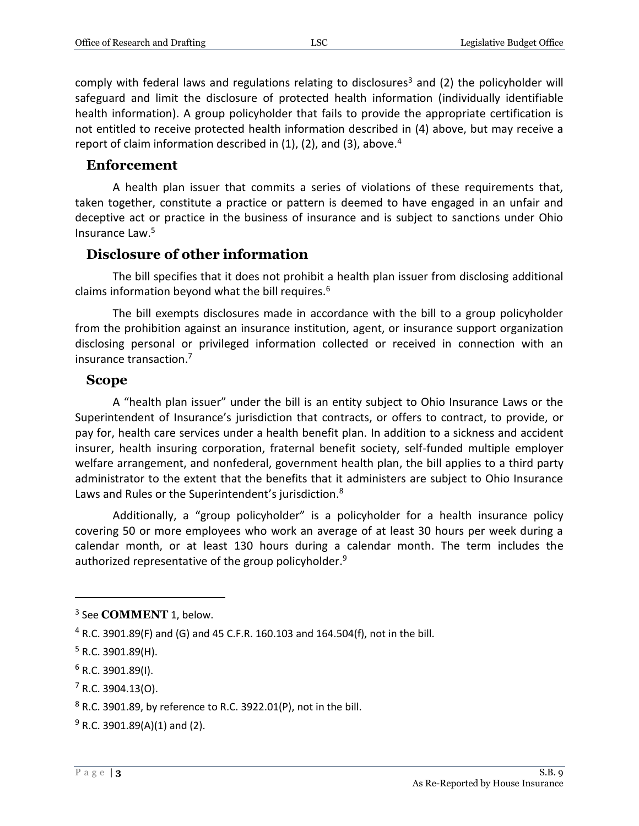comply with federal laws and regulations relating to disclosures<sup>3</sup> and (2) the policyholder will safeguard and limit the disclosure of protected health information (individually identifiable health information). A group policyholder that fails to provide the appropriate certification is not entitled to receive protected health information described in (4) above, but may receive a report of claim information described in  $(1)$ ,  $(2)$ , and  $(3)$ , above.<sup>4</sup>

#### **Enforcement**

A health plan issuer that commits a series of violations of these requirements that, taken together, constitute a practice or pattern is deemed to have engaged in an unfair and deceptive act or practice in the business of insurance and is subject to sanctions under Ohio Insurance Law.<sup>5</sup>

#### **Disclosure of other information**

The bill specifies that it does not prohibit a health plan issuer from disclosing additional claims information beyond what the bill requires.<sup>6</sup>

The bill exempts disclosures made in accordance with the bill to a group policyholder from the prohibition against an insurance institution, agent, or insurance support organization disclosing personal or privileged information collected or received in connection with an insurance transaction.<sup>7</sup>

#### **Scope**

A "health plan issuer" under the bill is an entity subject to Ohio Insurance Laws or the Superintendent of Insurance's jurisdiction that contracts, or offers to contract, to provide, or pay for, health care services under a health benefit plan. In addition to a sickness and accident insurer, health insuring corporation, fraternal benefit society, self-funded multiple employer welfare arrangement, and nonfederal, government health plan, the bill applies to a third party administrator to the extent that the benefits that it administers are subject to Ohio Insurance Laws and Rules or the Superintendent's jurisdiction.<sup>8</sup>

Additionally, a "group policyholder" is a policyholder for a health insurance policy covering 50 or more employees who work an average of at least 30 hours per week during a calendar month, or at least 130 hours during a calendar month. The term includes the authorized representative of the group policyholder. 9

 $\overline{a}$ 

 $6$  R.C. 3901.89(I).

<sup>3</sup> See **COMMENT** 1, below.

 $4$  R.C. 3901.89(F) and (G) and 45 C.F.R. 160.103 and 164.504(f), not in the bill.

 $5$  R.C. 3901.89(H).

 $7$  R.C. 3904.13(O).

 $8$  R.C. 3901.89, by reference to R.C. 3922.01(P), not in the bill.

 $9$  R.C. 3901.89(A)(1) and (2).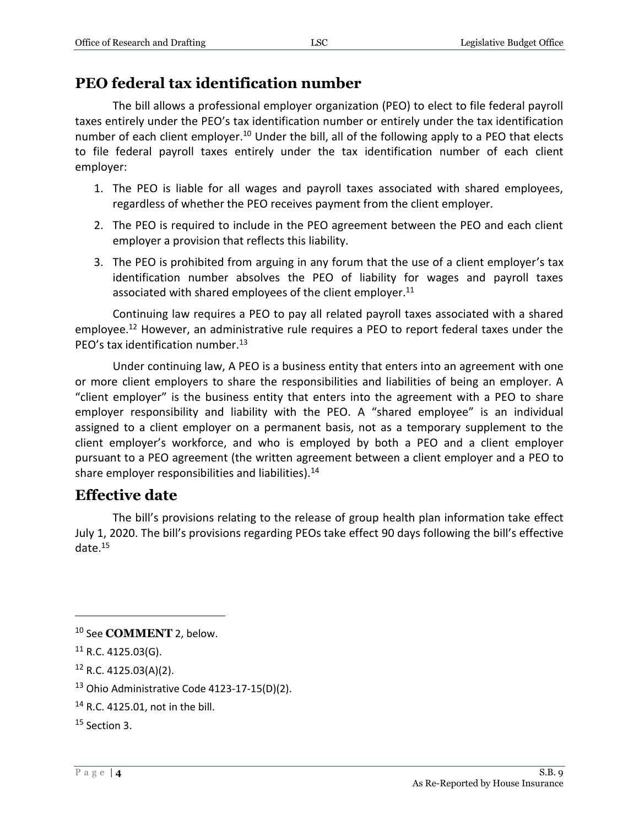## **PEO federal tax identification number**

The bill allows a professional employer organization (PEO) to elect to file federal payroll taxes entirely under the PEO's tax identification number or entirely under the tax identification number of each client employer.<sup>10</sup> Under the bill, all of the following apply to a PEO that elects to file federal payroll taxes entirely under the tax identification number of each client employer:

- 1. The PEO is liable for all wages and payroll taxes associated with shared employees, regardless of whether the PEO receives payment from the client employer.
- 2. The PEO is required to include in the PEO agreement between the PEO and each client employer a provision that reflects this liability.
- 3. The PEO is prohibited from arguing in any forum that the use of a client employer's tax identification number absolves the PEO of liability for wages and payroll taxes associated with shared employees of the client employer. $11$

Continuing law requires a PEO to pay all related payroll taxes associated with a shared employee.<sup>12</sup> However, an administrative rule requires a PEO to report federal taxes under the PEO's tax identification number.<sup>13</sup>

Under continuing law, A PEO is a business entity that enters into an agreement with one or more client employers to share the responsibilities and liabilities of being an employer. A "client employer" is the business entity that enters into the agreement with a PEO to share employer responsibility and liability with the PEO. A "shared employee" is an individual assigned to a client employer on a permanent basis, not as a temporary supplement to the client employer's workforce, and who is employed by both a PEO and a client employer pursuant to a PEO agreement (the written agreement between a client employer and a PEO to share employer responsibilities and liabilities).<sup>14</sup>

## **Effective date**

The bill's provisions relating to the release of group health plan information take effect July 1, 2020. The bill's provisions regarding PEOs take effect 90 days following the bill's effective date.<sup>15</sup>

<sup>10</sup> See **COMMENT** 2, below.

 $11$  R.C. 4125.03(G).

<sup>12</sup> R.C. 4125.03(A)(2).

 $13$  Ohio Administrative Code 4123-17-15(D)(2).

<sup>14</sup> R.C. 4125.01, not in the bill.

<sup>15</sup> Section 3.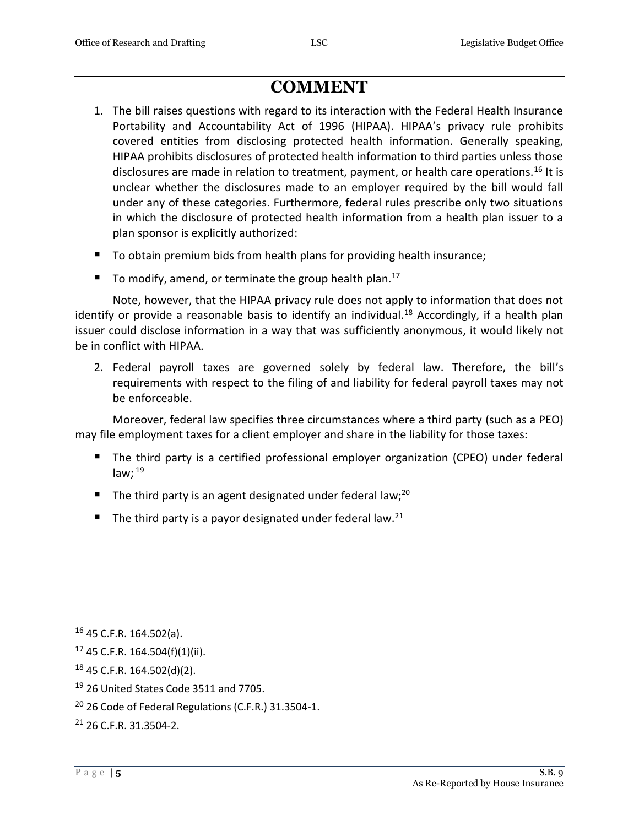## **COMMENT**

- 1. The bill raises questions with regard to its interaction with the Federal Health Insurance Portability and Accountability Act of 1996 (HIPAA). HIPAA's privacy rule prohibits covered entities from disclosing protected health information. Generally speaking, HIPAA prohibits disclosures of protected health information to third parties unless those disclosures are made in relation to treatment, payment, or health care operations.<sup>16</sup> It is unclear whether the disclosures made to an employer required by the bill would fall under any of these categories. Furthermore, federal rules prescribe only two situations in which the disclosure of protected health information from a health plan issuer to a plan sponsor is explicitly authorized:
- To obtain premium bids from health plans for providing health insurance;
- To modify, amend, or terminate the group health plan.<sup>17</sup>

Note, however, that the HIPAA privacy rule does not apply to information that does not identify or provide a reasonable basis to identify an individual.<sup>18</sup> Accordingly, if a health plan issuer could disclose information in a way that was sufficiently anonymous, it would likely not be in conflict with HIPAA.

2. Federal payroll taxes are governed solely by federal law. Therefore, the bill's requirements with respect to the filing of and liability for federal payroll taxes may not be enforceable.

Moreover, federal law specifies three circumstances where a third party (such as a PEO) may file employment taxes for a client employer and share in the liability for those taxes:

- The third party is a certified professional employer organization (CPEO) under federal law;  $^{19}$
- The third party is an agent designated under federal law;<sup>20</sup>
- The third party is a payor designated under federal law.<sup>21</sup>

<sup>16</sup> 45 C.F.R. 164.502(a).

<sup>17</sup> 45 C.F.R. 164.504(f)(1)(ii).

<sup>18</sup> 45 C.F.R. 164.502(d)(2).

<sup>&</sup>lt;sup>19</sup> 26 United States Code 3511 and 7705.

<sup>&</sup>lt;sup>20</sup> 26 Code of Federal Regulations (C.F.R.) 31.3504-1.

<sup>21</sup> 26 C.F.R. 31.3504-2.